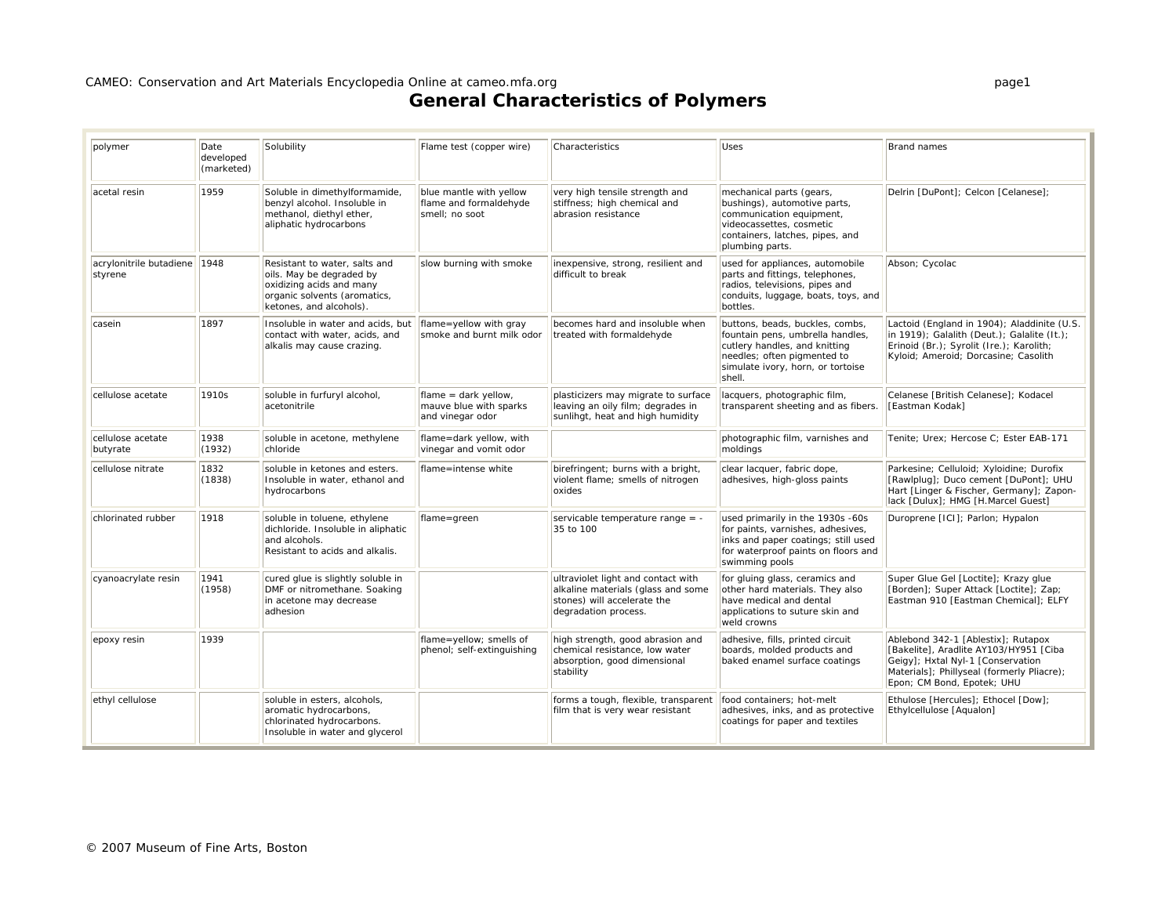| polymer                            | Date<br>developed<br>(marketed) | Solubility                                                                                                                                       | Flame test (copper wire)                                            | Characteristics                                                                                                                 | Uses                                                                                                                                                                               | Brand names                                                                                                                                                                                   |
|------------------------------------|---------------------------------|--------------------------------------------------------------------------------------------------------------------------------------------------|---------------------------------------------------------------------|---------------------------------------------------------------------------------------------------------------------------------|------------------------------------------------------------------------------------------------------------------------------------------------------------------------------------|-----------------------------------------------------------------------------------------------------------------------------------------------------------------------------------------------|
| acetal resin                       | 1959                            | Soluble in dimethylformamide,<br>benzyl alcohol. Insoluble in<br>methanol, diethyl ether,<br>aliphatic hydrocarbons                              | blue mantle with yellow<br>flame and formaldehyde<br>smell; no soot | very high tensile strength and<br>stiffness; high chemical and<br>abrasion resistance                                           | mechanical parts (gears,<br>bushings), automotive parts,<br>communication equipment,<br>videocassettes, cosmetic<br>containers, latches, pipes, and<br>plumbing parts.             | Delrin [DuPont]; Celcon [Celanese];                                                                                                                                                           |
| acrylonitrile butadiene<br>styrene | 1948                            | Resistant to water, salts and<br>oils. May be degraded by<br>oxidizing acids and many<br>organic solvents (aromatics,<br>ketones, and alcohols). | slow burning with smoke                                             | inexpensive, strong, resilient and<br>difficult to break                                                                        | used for appliances, automobile<br>parts and fittings, telephones,<br>radios, televisions, pipes and<br>conduits, luggage, boats, toys, and<br>bottles.                            | Abson; Cycolac                                                                                                                                                                                |
| casein                             | 1897                            | Insoluble in water and acids, but<br>contact with water, acids, and<br>alkalis may cause crazing.                                                | flame=yellow with gray<br>smoke and burnt milk odor                 | becomes hard and insoluble when<br>treated with formaldehyde                                                                    | buttons, beads, buckles, combs,<br>fountain pens, umbrella handles,<br>cutlery handles, and knitting<br>needles; often pigmented to<br>simulate ivory, horn, or tortoise<br>shell. | Lactoid (England in 1904); Aladdinite (U.S.<br>in 1919); Galalith (Deut.); Galalite (It.);<br>Erinoid (Br.); Syrolit (Ire.); Karolith;<br>Kyloid; Ameroid; Dorcasine; Casolith                |
| cellulose acetate                  | 1910s                           | soluble in furfuryl alcohol,<br>acetonitrile                                                                                                     | flame = dark yellow,<br>mauve blue with sparks<br>and vinegar odor  | plasticizers may migrate to surface<br>leaving an oily film; degrades in<br>sunlihgt, heat and high humidity                    | lacquers, photographic film,<br>transparent sheeting and as fibers.                                                                                                                | Celanese [British Celanese]; Kodacel<br>[Eastman Kodak]                                                                                                                                       |
| cellulose acetate<br>butyrate      | 1938<br>(1932)                  | soluble in acetone, methylene<br>chloride                                                                                                        | flame=dark yellow, with<br>vinegar and vomit odor                   |                                                                                                                                 | photographic film, varnishes and<br>moldings                                                                                                                                       | Tenite: Urex: Hercose C: Ester EAB-171                                                                                                                                                        |
| cellulose nitrate                  | 1832<br>(1838)                  | soluble in ketones and esters.<br>Insoluble in water, ethanol and<br>hydrocarbons                                                                | flame=intense white                                                 | birefringent; burns with a bright,<br>violent flame; smells of nitrogen<br>oxides                                               | clear lacquer, fabric dope,<br>adhesives, high-gloss paints                                                                                                                        | Parkesine; Celluloid; Xyloidine; Durofix<br>[Rawlplug]; Duco cement [DuPont]; UHU<br>Hart [Linger & Fischer, Germany]; Zapon-<br>lack [Dulux]; HMG [H.Marcel Guest]                           |
| chlorinated rubber                 | 1918                            | soluble in toluene, ethylene<br>dichloride. Insoluble in aliphatic<br>and alcohols.<br>Resistant to acids and alkalis.                           | flame=green                                                         | servicable temperature range = -<br>35 to 100                                                                                   | used primarily in the 1930s -60s<br>for paints, varnishes, adhesives,<br>inks and paper coatings; still used<br>for waterproof paints on floors and<br>swimming pools              | Duroprene [ICI]; Parlon; Hypalon                                                                                                                                                              |
| cyanoacrylate resin                | 1941<br>(1958)                  | cured glue is slightly soluble in<br>DMF or nitromethane. Soaking<br>in acetone may decrease<br>adhesion                                         |                                                                     | ultraviolet light and contact with<br>alkaline materials (glass and some<br>stones) will accelerate the<br>degradation process. | for gluing glass, ceramics and<br>other hard materials. They also<br>have medical and dental<br>applications to suture skin and<br>weld crowns                                     | Super Glue Gel [Loctite]; Krazy glue<br>[Borden]; Super Attack [Loctite]; Zap;<br>Eastman 910 [Eastman Chemical]; ELFY                                                                        |
| epoxy resin                        | 1939                            |                                                                                                                                                  | flame=yellow; smells of<br>phenol; self-extinguishing               | high strength, good abrasion and<br>chemical resistance, low water<br>absorption, good dimensional<br>stability                 | adhesive, fills, printed circuit<br>boards, molded products and<br>baked enamel surface coatings                                                                                   | Ablebond 342-1 [Ablestix]; Rutapox<br>[Bakelite], Aradlite AY103/HY951 [Ciba<br>Geigy]; Hxtal Nyl-1 [Conservation<br>Materials]; Phillyseal (formerly Pliacre);<br>Epon; CM Bond, Epotek; UHU |
| ethyl cellulose                    |                                 | soluble in esters, alcohols,<br>aromatic hydrocarbons,<br>chlorinated hydrocarbons.<br>Insoluble in water and glycerol                           |                                                                     | forms a tough, flexible, transparent<br>film that is very wear resistant                                                        | food containers; hot-melt<br>adhesives, inks, and as protective<br>coatings for paper and textiles                                                                                 | Ethulose [Hercules]; Ethocel [Dow];<br>Ethylcellulose [Aqualon]                                                                                                                               |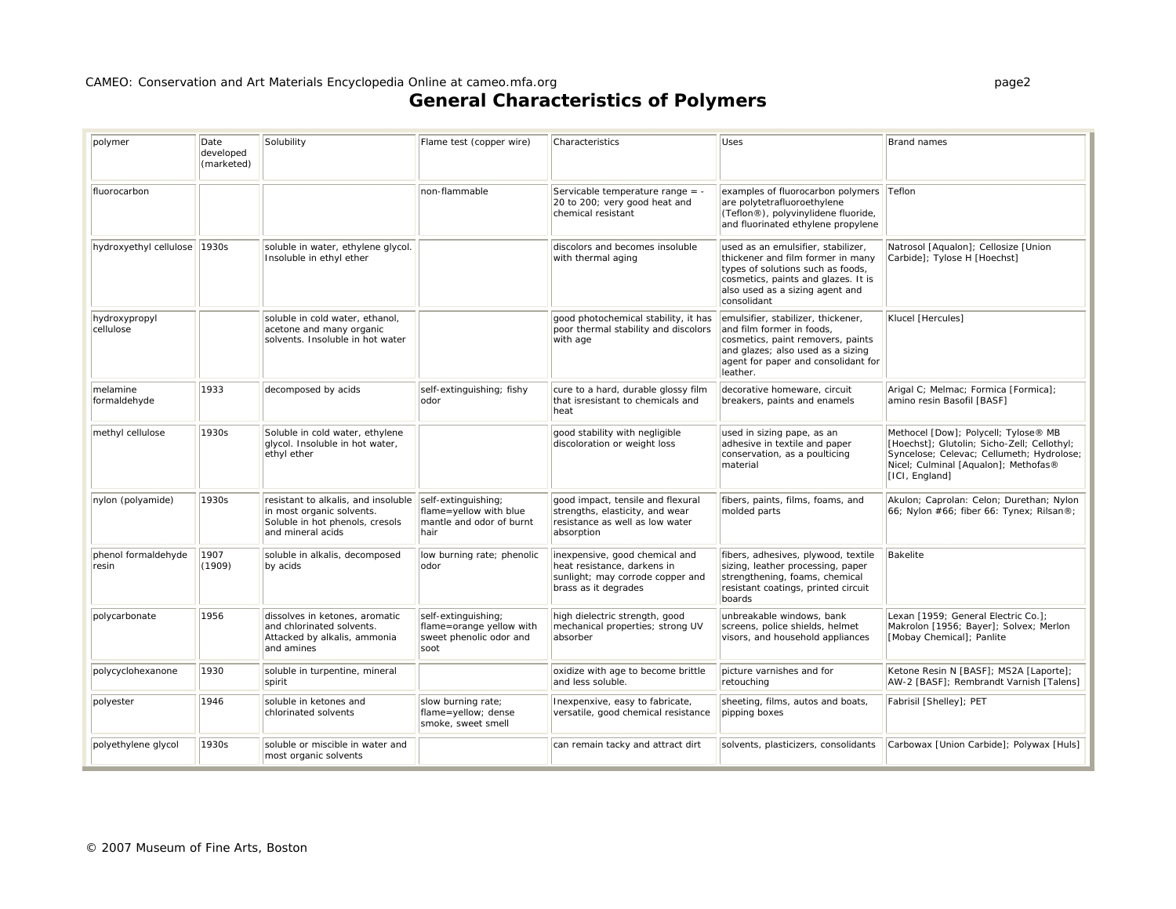| polymer                      | Date<br>developed<br>(marketed) | Solubility                                                                                                               | Flame test (copper wire)                                                           | Characteristics                                                                                                           | <b>Uses</b>                                                                                                                                                                                           | Brand names                                                                                                                                                                                |
|------------------------------|---------------------------------|--------------------------------------------------------------------------------------------------------------------------|------------------------------------------------------------------------------------|---------------------------------------------------------------------------------------------------------------------------|-------------------------------------------------------------------------------------------------------------------------------------------------------------------------------------------------------|--------------------------------------------------------------------------------------------------------------------------------------------------------------------------------------------|
| fluorocarbon                 |                                 |                                                                                                                          | non-flammable                                                                      | Servicable temperature range = -<br>20 to 200; very good heat and<br>chemical resistant                                   | examples of fluorocarbon polymers<br>are polytetrafluoroethylene<br>(Teflon®), polyvinylidene fluoride,<br>and fluorinated ethylene propylene                                                         | Teflon                                                                                                                                                                                     |
| hydroxyethyl cellulose       | 1930s                           | soluble in water, ethylene glycol.<br>Insoluble in ethyl ether                                                           |                                                                                    | discolors and becomes insoluble<br>with thermal aging                                                                     | used as an emulsifier, stabilizer,<br>thickener and film former in many<br>types of solutions such as foods,<br>cosmetics, paints and glazes. It is<br>also used as a sizing agent and<br>consolidant | Natrosol [Aqualon]; Cellosize [Union<br>Carbide]; Tylose H [Hoechst]                                                                                                                       |
| hydroxypropyl<br>cellulose   |                                 | soluble in cold water, ethanol,<br>acetone and many organic<br>solvents. Insoluble in hot water                          |                                                                                    | good photochemical stability, it has<br>poor thermal stability and discolors<br>with age                                  | emulsifier, stabilizer, thickener,<br>and film former in foods,<br>cosmetics, paint removers, paints<br>and glazes; also used as a sizing<br>agent for paper and consolidant for<br>leather.          | Klucel [Hercules]                                                                                                                                                                          |
| melamine<br>formaldehyde     | 1933                            | decomposed by acids                                                                                                      | self-extinguishing; fishy<br>odor                                                  | cure to a hard, durable glossy film<br>that isresistant to chemicals and<br>heat                                          | decorative homeware, circuit<br>breakers, paints and enamels                                                                                                                                          | Arigal C; Melmac; Formica [Formica];<br>amino resin Basofil [BASF]                                                                                                                         |
| methyl cellulose             | 1930s                           | Soluble in cold water, ethylene<br>glycol. Insoluble in hot water,<br>ethyl ether                                        |                                                                                    | good stability with negligible<br>discoloration or weight loss                                                            | used in sizing pape, as an<br>adhesive in textile and paper<br>conservation, as a poulticing<br>material                                                                                              | Methocel [Dow]; Polycell; Tylose® MB<br>[Hoechst]; Glutolin; Sicho-Zell; Cellothyl;<br>Syncelose; Celevac; Cellumeth; Hydrolose;<br>Nicel; Culminal [Aqualon]; Methofas®<br>[ICI, England] |
| nylon (polyamide)            | 1930s                           | resistant to alkalis, and insoluble<br>in most organic solvents.<br>Soluble in hot phenols, cresols<br>and mineral acids | self-extinguishing;<br>flame=yellow with blue<br>mantle and odor of burnt<br>hair  | good impact, tensile and flexural<br>strengths, elasticity, and wear<br>resistance as well as low water<br>absorption     | fibers, paints, films, foams, and<br>molded parts                                                                                                                                                     | Akulon; Caprolan: Celon; Durethan; Nylon<br>66; Nylon #66; fiber 66: Tynex; Rilsan®;                                                                                                       |
| phenol formaldehyde<br>resin | 1907<br>(1909)                  | soluble in alkalis, decomposed<br>by acids                                                                               | low burning rate; phenolic<br>lodor                                                | inexpensive, good chemical and<br>heat resistance, darkens in<br>sunlight; may corrode copper and<br>brass as it degrades | fibers, adhesives, plywood, textile<br>sizing, leather processing, paper<br>strengthening, foams, chemical<br>resistant coatings, printed circuit<br>boards                                           | <b>Bakelite</b>                                                                                                                                                                            |
| polycarbonate                | 1956                            | dissolves in ketones, aromatic<br>and chlorinated solvents.<br>Attacked by alkalis, ammonia<br>and amines                | self-extinguishing;<br>flame=orange yellow with<br>sweet phenolic odor and<br>soot | high dielectric strength, good<br>mechanical properties; strong UV<br>absorber                                            | unbreakable windows, bank<br>screens, police shields, helmet<br>visors, and household appliances                                                                                                      | Lexan [1959; General Electric Co.];<br>Makrolon [1956; Bayer]; Solvex; Merlon<br>[Mobay Chemical]; Panlite                                                                                 |
| polycyclohexanone            | 1930                            | soluble in turpentine, mineral<br>spirit                                                                                 |                                                                                    | oxidize with age to become brittle<br>and less soluble.                                                                   | picture varnishes and for<br>retouching                                                                                                                                                               | Ketone Resin N [BASF]; MS2A [Laporte];<br>AW-2 [BASF]; Rembrandt Varnish [Talens]                                                                                                          |
| polyester                    | 1946                            | soluble in ketones and<br>chlorinated solvents                                                                           | slow burning rate;<br>flame=yellow; dense<br>smoke, sweet smell                    | Inexpenxive, easy to fabricate,<br>versatile, good chemical resistance                                                    | sheeting, films, autos and boats,<br>pipping boxes                                                                                                                                                    | Fabrisil [Shelley]; PET                                                                                                                                                                    |
| polyethylene glycol          | 1930s                           | soluble or miscible in water and<br>most organic solvents                                                                |                                                                                    | can remain tacky and attract dirt                                                                                         | solvents, plasticizers, consolidants                                                                                                                                                                  | Carbowax [Union Carbide]; Polywax [Huls]                                                                                                                                                   |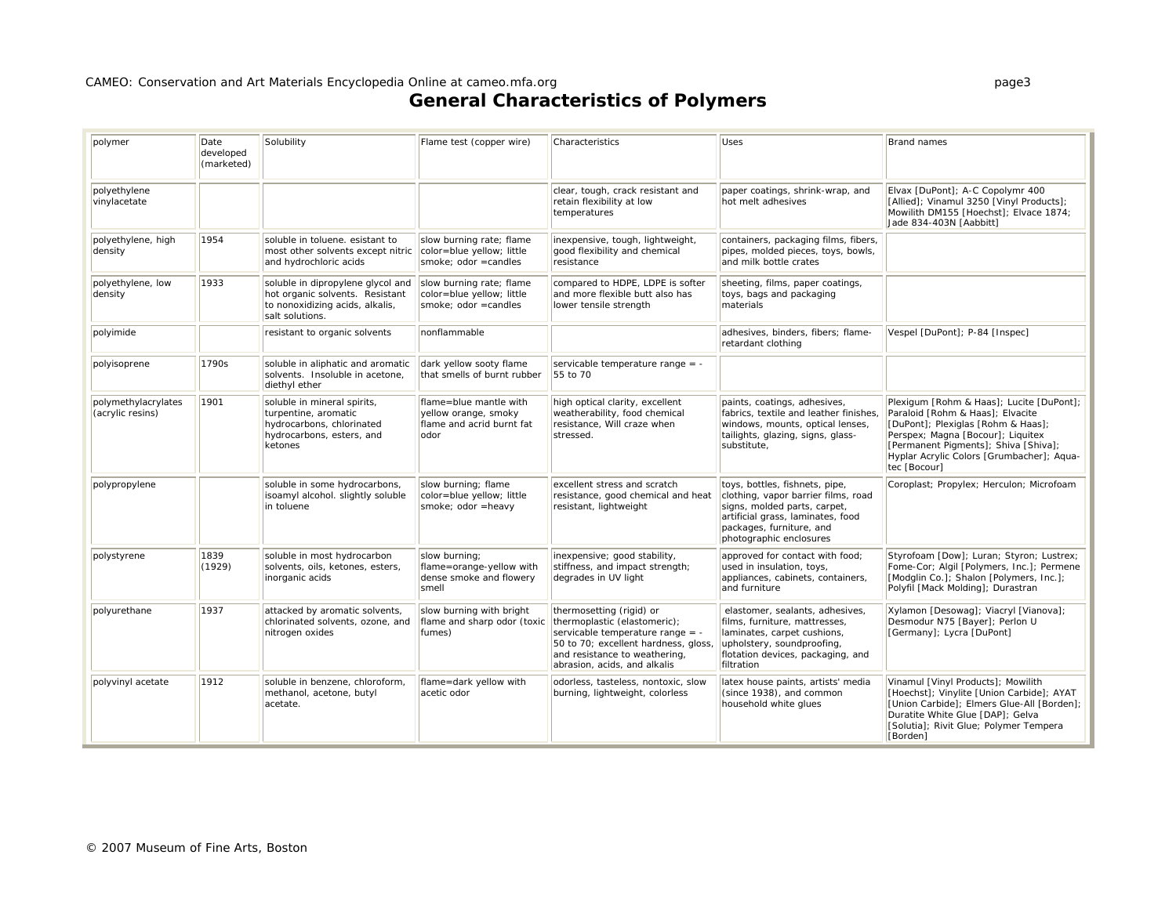| polymer                                 | Date<br>developed<br>(marketed) | Solubility                                                                                                                 | Flame test (copper wire)                                                             | Characteristics                                                                                                                                                                                       | <b>Uses</b>                                                                                                                                                                                       | <b>Brand names</b>                                                                                                                                                                                                                                           |
|-----------------------------------------|---------------------------------|----------------------------------------------------------------------------------------------------------------------------|--------------------------------------------------------------------------------------|-------------------------------------------------------------------------------------------------------------------------------------------------------------------------------------------------------|---------------------------------------------------------------------------------------------------------------------------------------------------------------------------------------------------|--------------------------------------------------------------------------------------------------------------------------------------------------------------------------------------------------------------------------------------------------------------|
| polyethylene<br>vinylacetate            |                                 |                                                                                                                            |                                                                                      | clear, tough, crack resistant and<br>retain flexibility at low<br>temperatures                                                                                                                        | paper coatings, shrink-wrap, and<br>hot melt adhesives                                                                                                                                            | Elvax [DuPont]; A-C Copolymr 400<br>[Allied]; Vinamul 3250 [Vinyl Products];<br>Mowilith DM155 [Hoechst]; Elvace 1874;<br>Jade 834-403N [Aabbitt]                                                                                                            |
| polyethylene, high<br>density           | 1954                            | soluble in toluene. esistant to<br>most other solvents except nitric<br>and hydrochloric acids                             | slow burning rate; flame<br>color=blue yellow; little<br>smoke; odor = candles       | inexpensive, tough, lightweight,<br>good flexibility and chemical<br>resistance                                                                                                                       | containers, packaging films, fibers,<br>pipes, molded pieces, toys, bowls,<br>and milk bottle crates                                                                                              |                                                                                                                                                                                                                                                              |
| polyethylene, low<br>density            | 1933                            | soluble in dipropylene glycol and<br>hot organic solvents. Resistant<br>to nonoxidizing acids, alkalis,<br>salt solutions. | slow burning rate; flame<br>color=blue yellow; little<br>smoke; odor = candles       | compared to HDPE, LDPE is softer<br>and more flexible butt also has<br>lower tensile strength                                                                                                         | sheeting, films, paper coatings,<br>toys, bags and packaging<br>materials                                                                                                                         |                                                                                                                                                                                                                                                              |
| polyimide                               |                                 | resistant to organic solvents                                                                                              | nonflammable                                                                         |                                                                                                                                                                                                       | adhesives, binders, fibers; flame-<br>retardant clothing                                                                                                                                          | Vespel [DuPont]; P-84 [Inspec]                                                                                                                                                                                                                               |
| polyisoprene                            | 1790s                           | soluble in aliphatic and aromatic<br>solvents. Insoluble in acetone,<br>diethyl ether                                      | dark yellow sooty flame<br>that smells of burnt rubber                               | servicable temperature range = -<br>55 to 70                                                                                                                                                          |                                                                                                                                                                                                   |                                                                                                                                                                                                                                                              |
| polymethylacrylates<br>(acrylic resins) | 1901                            | soluble in mineral spirits,<br>turpentine, aromatic<br>hydrocarbons, chlorinated<br>hydrocarbons, esters, and<br>ketones   | flame=blue mantle with<br>yellow orange, smoky<br>flame and acrid burnt fat<br>lodor | high optical clarity, excellent<br>weatherability, food chemical<br>resistance, Will craze when<br>stressed.                                                                                          | paints, coatings, adhesives,<br>fabrics, textile and leather finishes,<br>windows, mounts, optical lenses,<br>tailights, glazing, signs, glass-<br>substitute,                                    | Plexigum [Rohm & Haas]; Lucite [DuPont];<br>Paraloid [Rohm & Haas]; Elvacite<br>[DuPont]; Plexiglas [Rohm & Haas];<br>Perspex; Magna [Bocour]; Liquitex<br>[Permanent Pigments]; Shiva [Shiva];<br>Hyplar Acrylic Colors [Grumbacher]; Aqua-<br>tec [Bocour] |
| polypropylene                           |                                 | soluble in some hydrocarbons,<br>isoamyl alcohol. slightly soluble<br>in toluene                                           | slow burning; flame<br>color=blue yellow; little<br>smoke; odor =heavy               | excellent stress and scratch<br>resistance, good chemical and heat<br>resistant, lightweight                                                                                                          | toys, bottles, fishnets, pipe,<br>clothing, vapor barrier films, road<br>signs, molded parts, carpet,<br>artificial grass, laminates, food<br>packages, furniture, and<br>photographic enclosures | Coroplast; Propylex; Herculon; Microfoam                                                                                                                                                                                                                     |
| polystyrene                             | 1839<br>(1929)                  | soluble in most hydrocarbon<br>solvents, oils, ketones, esters,<br>inorganic acids                                         | slow burning;<br>flame=orange-yellow with<br>dense smoke and flowery<br>smell        | inexpensive; good stability,<br>stiffness, and impact strength;<br>degrades in UV light                                                                                                               | approved for contact with food;<br>used in insulation, toys,<br>appliances, cabinets, containers,<br>and furniture                                                                                | Styrofoam [Dow]; Luran; Styron; Lustrex;<br>Fome-Cor; Algil [Polymers, Inc.]; Permene<br>[Modglin Co.]; Shalon [Polymers, Inc.];<br>Polyfil [Mack Molding]; Durastran                                                                                        |
| polyurethane                            | 1937                            | attacked by aromatic solvents,<br>chlorinated solvents, ozone, and<br>nitrogen oxides                                      | slow burning with bright<br>flame and sharp odor (toxic<br>fumes)                    | thermosetting (rigid) or<br>thermoplastic (elastomeric);<br>servicable temperature range = -<br>50 to 70; excellent hardness, gloss,<br>and resistance to weathering,<br>abrasion, acids, and alkalis | elastomer, sealants, adhesives,<br>films, furniture, mattresses,<br>laminates, carpet cushions,<br>upholstery, soundproofing,<br>flotation devices, packaging, and<br>filtration                  | Xylamon [Desowag]; Viacryl [Vianova];<br>Desmodur N75 [Bayer]; Perlon U<br>[Germany]; Lycra [DuPont]                                                                                                                                                         |
| polyvinyl acetate                       | 1912                            | soluble in benzene, chloroform,<br>methanol, acetone, butyl<br>acetate.                                                    | flame=dark yellow with<br>acetic odor                                                | odorless, tasteless, nontoxic, slow<br>burning, lightweight, colorless                                                                                                                                | latex house paints, artists' media<br>(since 1938), and common<br>household white glues                                                                                                           | Vinamul [Vinyl Products]; Mowilith<br>[Hoechst]; Vinylite [Union Carbide]; AYAT<br>[Union Carbide]; Elmers Glue-All [Borden];<br>Duratite White Glue [DAP]; Gelva<br>[Solutia]; Rivit Glue; Polymer Tempera<br>[Borden]                                      |